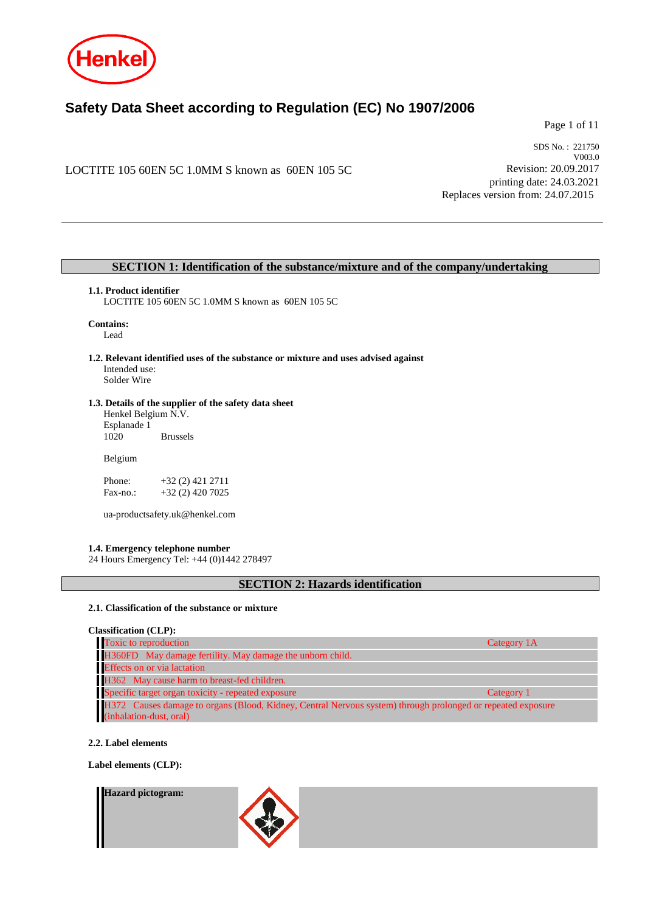

# **Safety Data Sheet according to Regulation (EC) No 1907/2006**

Page 1 of 11

LOCTITE 105 60EN 5C 1.0MM S known as 60EN 105 5C

SDS No. : 221750 V003.0 Revision: 20.09.2017 printing date: 24.03.2021 Replaces version from: 24.07.2015

### **SECTION 1: Identification of the substance/mixture and of the company/undertaking**

### **1.1. Product identifier**

LOCTITE 105 60EN 5C 1.0MM S known as 60EN 105 5C

## **Contains:**

Lead

**1.2. Relevant identified uses of the substance or mixture and uses advised against** Intended use: Solder Wire

### **1.3. Details of the supplier of the safety data sheet**

Henkel Belgium N.V. Esplanade 1 **Brussels** 

Belgium

Phone: +32 (2) 421 2711<br>Fax-no.: +32 (2) 420 7025 +32 (2) 420 7025

ua-productsafety.uk@henkel.com

### **1.4. Emergency telephone number**

24 Hours Emergency Tel: +44 (0)1442 278497

### **SECTION 2: Hazards identification**

### **2.1. Classification of the substance or mixture**

**Classification (CLP):**

| Toxic to reproduction                                                                                       | Category 1A |
|-------------------------------------------------------------------------------------------------------------|-------------|
| H360FD May damage fertility. May damage the unborn child.                                                   |             |
| <b>Effects</b> on or via lactation                                                                          |             |
| H362 May cause harm to breast-fed children.                                                                 |             |
| Specific target organ toxicity - repeated exposure                                                          | Category 1  |
| H372 Causes damage to organs (Blood, Kidney, Central Nervous system) through prolonged or repeated exposure |             |
| (inhalation-dust, oral)                                                                                     |             |

### **2.2. Label elements**

**Label elements (CLP):**

#### **Hazard pictogram:**

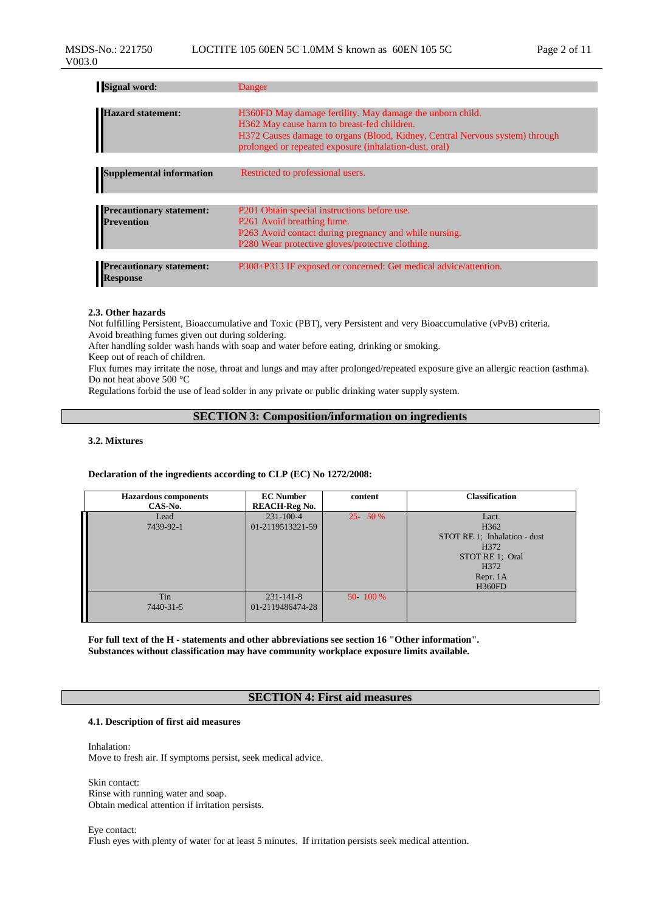| <b>Signal word:</b>                                | Danger                                                                                                                                                                                                                                             |
|----------------------------------------------------|----------------------------------------------------------------------------------------------------------------------------------------------------------------------------------------------------------------------------------------------------|
|                                                    |                                                                                                                                                                                                                                                    |
| <b>Hazard statement:</b>                           | H360FD May damage fertility. May damage the unborn child.<br>H362 May cause harm to breast-fed children.<br>H372 Causes damage to organs (Blood, Kidney, Central Nervous system) through<br>prolonged or repeated exposure (inhalation-dust, oral) |
|                                                    |                                                                                                                                                                                                                                                    |
| <b>Supplemental information</b>                    | Restricted to professional users.                                                                                                                                                                                                                  |
|                                                    |                                                                                                                                                                                                                                                    |
| <b>Precautionary statement:</b>                    | P201 Obtain special instructions before use.                                                                                                                                                                                                       |
| <b>Prevention</b>                                  | P261 Avoid breathing fume.                                                                                                                                                                                                                         |
|                                                    | P263 Avoid contact during pregnancy and while nursing.                                                                                                                                                                                             |
|                                                    | P280 Wear protective gloves/protective clothing.                                                                                                                                                                                                   |
|                                                    |                                                                                                                                                                                                                                                    |
| <b>Precautionary statement:</b><br><b>Response</b> | P308+P313 IF exposed or concerned: Get medical advice/attention.                                                                                                                                                                                   |

### **2.3. Other hazards**

Not fulfilling Persistent, Bioaccumulative and Toxic (PBT), very Persistent and very Bioaccumulative (vPvB) criteria. Avoid breathing fumes given out during soldering.

After handling solder wash hands with soap and water before eating, drinking or smoking.

Keep out of reach of children.

Flux fumes may irritate the nose, throat and lungs and may after prolonged/repeated exposure give an allergic reaction (asthma). Do not heat above 500 °C

Regulations forbid the use of lead solder in any private or public drinking water supply system.

### **SECTION 3: Composition/information on ingredients**

### **3.2. Mixtures**

#### **Declaration of the ingredients according to CLP (EC) No 1272/2008:**

| <b>Hazardous</b> components | <b>EC Number</b>     | content    | <b>Classification</b>        |
|-----------------------------|----------------------|------------|------------------------------|
| CAS-No.                     | <b>REACH-Reg No.</b> |            |                              |
| Lead                        | $231 - 100 - 4$      | 25 50 %    | Lact.                        |
| 7439-92-1                   | 01-2119513221-59     |            | H <sub>362</sub>             |
|                             |                      |            | STOT RE 1; Inhalation - dust |
|                             |                      |            | H <sub>372</sub>             |
|                             |                      |            | STOT RE 1: Oral              |
|                             |                      |            | H <sub>372</sub>             |
|                             |                      |            | Repr. 1A                     |
|                             |                      |            | <b>H360FD</b>                |
| Tin                         | $231 - 141 - 8$      | 50 - 100 % |                              |
| 7440-31-5                   | 01-2119486474-28     |            |                              |
|                             |                      |            |                              |

**For full text of the H - statements and other abbreviations see section 16 "Other information". Substances without classification may have community workplace exposure limits available.**

### **SECTION 4: First aid measures**

#### **4.1. Description of first aid measures**

Inhalation: Move to fresh air. If symptoms persist, seek medical advice.

Skin contact: Rinse with running water and soap. Obtain medical attention if irritation persists.

Eye contact: Flush eyes with plenty of water for at least 5 minutes. If irritation persists seek medical attention.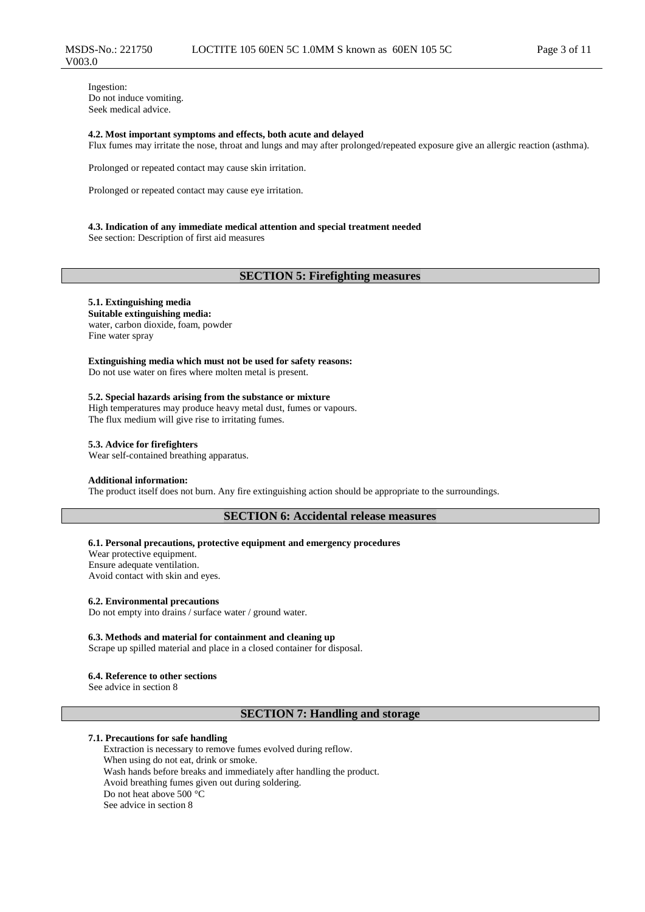Ingestion: Do not induce vomiting. Seek medical advice.

V003.0

#### **4.2. Most important symptoms and effects, both acute and delayed**

Flux fumes may irritate the nose, throat and lungs and may after prolonged/repeated exposure give an allergic reaction (asthma).

Prolonged or repeated contact may cause skin irritation.

Prolonged or repeated contact may cause eye irritation.

#### **4.3. Indication of any immediate medical attention and special treatment needed**

See section: Description of first aid measures

### **SECTION 5: Firefighting measures**

### **5.1. Extinguishing media**

**Suitable extinguishing media:** water, carbon dioxide, foam, powder Fine water spray

**Extinguishing media which must not be used for safety reasons:** Do not use water on fires where molten metal is present.

#### **5.2. Special hazards arising from the substance or mixture**

High temperatures may produce heavy metal dust, fumes or vapours. The flux medium will give rise to irritating fumes.

### **5.3. Advice for firefighters**

Wear self-contained breathing apparatus.

### **Additional information:**

The product itself does not burn. Any fire extinguishing action should be appropriate to the surroundings.

### **SECTION 6: Accidental release measures**

#### **6.1. Personal precautions, protective equipment and emergency procedures**

Wear protective equipment. Ensure adequate ventilation. Avoid contact with skin and eyes.

#### **6.2. Environmental precautions**

Do not empty into drains / surface water / ground water.

#### **6.3. Methods and material for containment and cleaning up**

Scrape up spilled material and place in a closed container for disposal.

#### **6.4. Reference to other sections**

See advice in section 8

### **SECTION 7: Handling and storage**

#### **7.1. Precautions for safe handling**

Extraction is necessary to remove fumes evolved during reflow. When using do not eat, drink or smoke. Wash hands before breaks and immediately after handling the product. Avoid breathing fumes given out during soldering. Do not heat above 500 °C See advice in section 8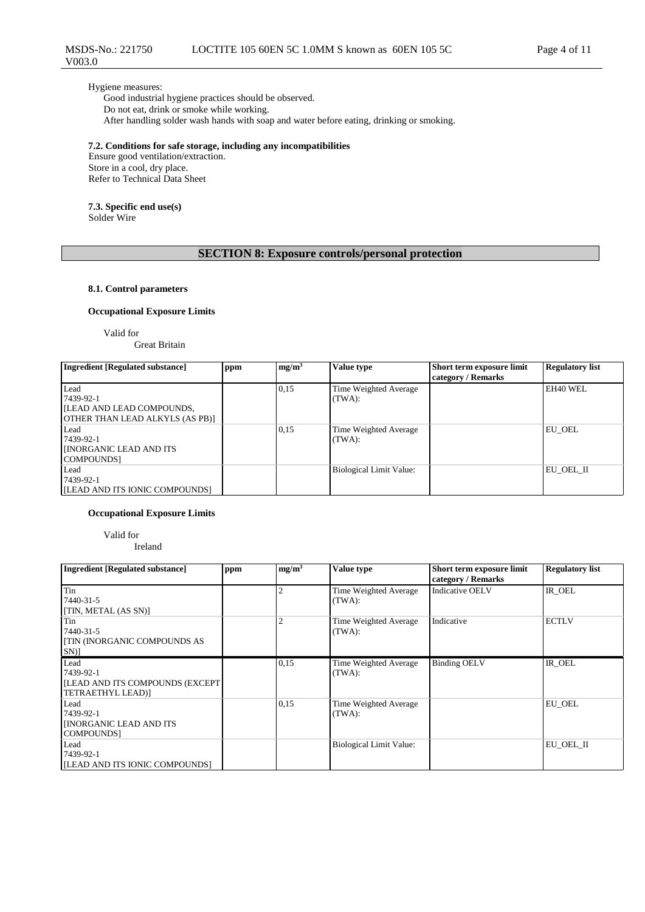### Hygiene measures:

V003.0

Good industrial hygiene practices should be observed. Do not eat, drink or smoke while working. After handling solder wash hands with soap and water before eating, drinking or smoking.

### **7.2. Conditions for safe storage, including any incompatibilities**

Ensure good ventilation/extraction. Store in a cool, dry place. Refer to Technical Data Sheet

#### **7.3. Specific end use(s)** Solder Wire

### **SECTION 8: Exposure controls/personal protection**

### **8.1. Control parameters**

### **Occupational Exposure Limits**

Valid for

Great Britain

| <b>Ingredient [Regulated substance]</b>                                                  | ppm | mg/m <sup>3</sup> | Value type                      | Short term exposure limit<br>category / Remarks | <b>Regulatory list</b> |
|------------------------------------------------------------------------------------------|-----|-------------------|---------------------------------|-------------------------------------------------|------------------------|
| Lead<br>7439-92-1<br><b>ILEAD AND LEAD COMPOUNDS.</b><br>OTHER THAN LEAD ALKYLS (AS PB)] |     | 0,15              | Time Weighted Average<br>(TWA): |                                                 | EH40 WEL               |
| Lead<br>7439-92-1<br><b>INORGANIC LEAD AND ITS</b><br>COMPOUNDS1                         |     | 0,15              | Time Weighted Average<br>(TWA): |                                                 | EU OEL                 |
| Lead<br>7439-92-1<br>[ILEAD AND ITS IONIC COMPOUNDS]                                     |     |                   | Biological Limit Value:         |                                                 | EU OEL II              |

### **Occupational Exposure Limits**

Valid for Ireland

| <b>Ingredient [Regulated substance]</b>                                    | ppm | mg/m <sup>3</sup> | Value type                      | Short term exposure limit<br>category / Remarks | <b>Regulatory list</b> |
|----------------------------------------------------------------------------|-----|-------------------|---------------------------------|-------------------------------------------------|------------------------|
| Tin<br>7440-31-5<br>[TIN, METAL (AS SN)]                                   |     | 2                 | Time Weighted Average<br>(TWA): | <b>Indicative OELV</b>                          | IR OEL                 |
| Tin<br>7440-31-5<br><b>[TIN (INORGANIC COMPOUNDS AS</b><br>SN)]            |     | $\overline{2}$    | Time Weighted Average<br>(TWA): | Indicative                                      | <b>ECTLV</b>           |
| Lead<br>7439-92-1<br>[LEAD AND ITS COMPOUNDS (EXCEPT]<br>TETRAETHYL LEAD)] |     | 0.15              | Time Weighted Average<br>(TWA): | <b>Binding OELV</b>                             | IR OEL                 |
| Lead<br>7439-92-1<br><b>INORGANIC LEAD AND ITS</b><br><b>COMPOUNDS</b>     |     | 0,15              | Time Weighted Average<br>(TWA): |                                                 | EU OEL                 |
| Lead<br>7439-92-1<br>[LEAD AND ITS IONIC COMPOUNDS]                        |     |                   | <b>Biological Limit Value:</b>  |                                                 | EU OEL II              |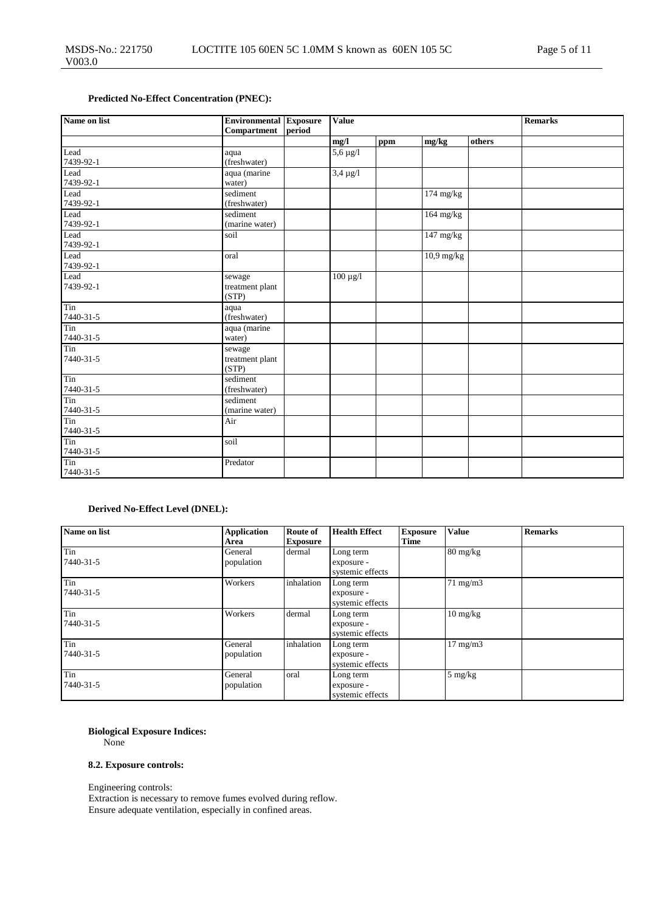### **Predicted No-Effect Concentration (PNEC):**

| Name on list      | <b>Environmental Exposure</b><br><b>Compartment</b> | <b>Value</b> |               |     |              | <b>Remarks</b> |  |
|-------------------|-----------------------------------------------------|--------------|---------------|-----|--------------|----------------|--|
|                   |                                                     | period       | mg/l          | ppm | mg/kg        | others         |  |
| Lead<br>7439-92-1 | aqua<br>(freshwater)                                |              | $5,6 \mu g/l$ |     |              |                |  |
| Lead<br>7439-92-1 | aqua (marine<br>water)                              |              | $3,4 \mu g/l$ |     |              |                |  |
| Lead<br>7439-92-1 | sediment<br>(freshwater)                            |              |               |     | $174$ mg/kg  |                |  |
| Lead<br>7439-92-1 | sediment<br>(marine water)                          |              |               |     | $164$ mg/kg  |                |  |
| Lead<br>7439-92-1 | soil                                                |              |               |     | 147 mg/kg    |                |  |
| Lead<br>7439-92-1 | oral                                                |              |               |     | $10.9$ mg/kg |                |  |
| Lead<br>7439-92-1 | sewage<br>treatment plant<br>(STP)                  |              | $100 \mu g/l$ |     |              |                |  |
| Tin<br>7440-31-5  | aqua<br>(freshwater)                                |              |               |     |              |                |  |
| Tin<br>7440-31-5  | aqua (marine<br>water)                              |              |               |     |              |                |  |
| Tin<br>7440-31-5  | sewage<br>treatment plant<br>(STP)                  |              |               |     |              |                |  |
| Tin<br>7440-31-5  | sediment<br>(freshwater)                            |              |               |     |              |                |  |
| Tin<br>7440-31-5  | sediment<br>(marine water)                          |              |               |     |              |                |  |
| Tin<br>7440-31-5  | Air                                                 |              |               |     |              |                |  |
| Tin<br>7440-31-5  | soil                                                |              |               |     |              |                |  |
| Tin<br>7440-31-5  | Predator                                            |              |               |     |              |                |  |

### **Derived No-Effect Level (DNEL):**

| Name on list     | <b>Application</b><br>Area | <b>Route of</b><br><b>Exposure</b> | <b>Health Effect</b>                        | <b>Exposure</b><br>Time | <b>Value</b>                     | <b>Remarks</b> |
|------------------|----------------------------|------------------------------------|---------------------------------------------|-------------------------|----------------------------------|----------------|
| Tin<br>7440-31-5 | General<br>population      | dermal                             | Long term<br>exposure -<br>systemic effects |                         | $80 \frac{\text{mg}}{\text{kg}}$ |                |
| Tin<br>7440-31-5 | Workers                    | inhalation                         | Long term<br>exposure -<br>systemic effects |                         | $71 \text{ mg/m}$                |                |
| Tin<br>7440-31-5 | Workers                    | dermal                             | Long term<br>exposure -<br>systemic effects |                         | $10 \text{ mg/kg}$               |                |
| Tin<br>7440-31-5 | General<br>population      | inhalation                         | Long term<br>exposure -<br>systemic effects |                         | $17 \text{ mg/m}$                |                |
| Tin<br>7440-31-5 | General<br>population      | oral                               | Long term<br>exposure -<br>systemic effects |                         | $5 \text{ mg/kg}$                |                |

### **Biological Exposure Indices:**

None

### **8.2. Exposure controls:**

Engineering controls:

Extraction is necessary to remove fumes evolved during reflow. Ensure adequate ventilation, especially in confined areas.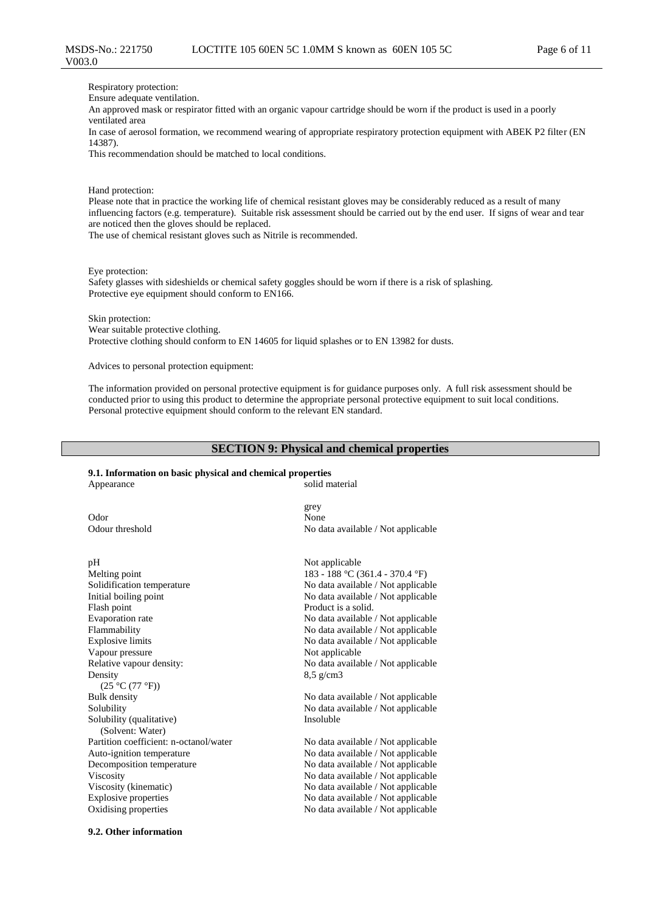Respiratory protection:

Ensure adequate ventilation.

An approved mask or respirator fitted with an organic vapour cartridge should be worn if the product is used in a poorly ventilated area

In case of aerosol formation, we recommend wearing of appropriate respiratory protection equipment with ABEK P2 filter (EN 14387).

This recommendation should be matched to local conditions.

Hand protection:

Please note that in practice the working life of chemical resistant gloves may be considerably reduced as a result of many influencing factors (e.g. temperature). Suitable risk assessment should be carried out by the end user. If signs of wear and tear are noticed then the gloves should be replaced.

The use of chemical resistant gloves such as Nitrile is recommended.

Eye protection:

Safety glasses with sideshields or chemical safety goggles should be worn if there is a risk of splashing. Protective eye equipment should conform to EN166.

Skin protection:

Wear suitable protective clothing. Protective clothing should conform to EN 14605 for liquid splashes or to EN 13982 for dusts.

Advices to personal protection equipment:

The information provided on personal protective equipment is for guidance purposes only. A full risk assessment should be conducted prior to using this product to determine the appropriate personal protective equipment to suit local conditions. Personal protective equipment should conform to the relevant EN standard.

#### **SECTION 9: Physical and chemical properties**

#### **9.1. Information on basic physical and chemical properties** Appearance

Odor None Odour threshold No data available / Not applicable pH Not applicable Melting point 183 - 188 °C (361.4 - 370.4 °F) Solidification temperature No data available / Not applicable

Initial boiling point  $\blacksquare$  No data available / Not applicable Flash point Product is a solid. Evaporation rate  $\blacksquare$  No data available / Not applicable Flammability  $\blacksquare$  No data available / Not applicable Explosive limits No data available / Not applicable Vapour pressure Not applicable Relative vapour density: No data available / Not applicable Density  $(25 °C (77 °F))$ <br>Bulk density Bulk density<br>
Solubility<br>
Solubility<br>
No data available / Not applicable<br>
No data available / Not applicable Solubility (qualitative) (Solvent: Water) Partition coefficient: n-octanol/water No data available / Not applicable Auto-ignition temperature No data available / Not applicable Decomposition temperature No data available / Not applicable Viscosity No data available / Not applicable Viscosity (kinematic) No data available / Not applicable Explosive properties No data available / Not applicable

grey

No data available / Not applicable 8,5 g/cm3

No data available / Not applicable Insoluble

Oxidising properties No data available / Not applicable

#### **9.2. Other information**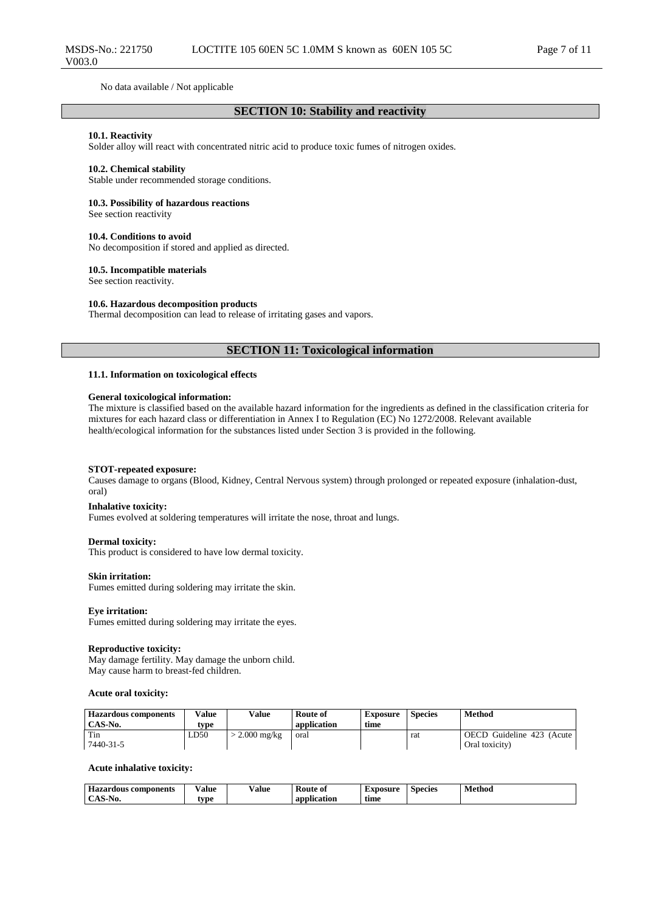### **SECTION 10: Stability and reactivity**

#### **10.1. Reactivity**

MSDS-No.: 221750

V003.0

Solder alloy will react with concentrated nitric acid to produce toxic fumes of nitrogen oxides.

#### **10.2. Chemical stability**

Stable under recommended storage conditions.

**10.3. Possibility of hazardous reactions**

See section reactivity

#### **10.4. Conditions to avoid**

No decomposition if stored and applied as directed.

#### **10.5. Incompatible materials**

See section reactivity.

#### **10.6. Hazardous decomposition products**

Thermal decomposition can lead to release of irritating gases and vapors.

### **SECTION 11: Toxicological information**

#### **11.1. Information on toxicological effects**

#### **General toxicological information:**

The mixture is classified based on the available hazard information for the ingredients as defined in the classification criteria for mixtures for each hazard class or differentiation in Annex I to Regulation (EC) No 1272/2008. Relevant available health/ecological information for the substances listed under Section 3 is provided in the following.

#### **STOT-repeated exposure:**

Causes damage to organs (Blood, Kidney, Central Nervous system) through prolonged or repeated exposure (inhalation-dust, oral)

#### **Inhalative toxicity:**

Fumes evolved at soldering temperatures will irritate the nose, throat and lungs.

#### **Dermal toxicity:**

This product is considered to have low dermal toxicity.

#### **Skin irritation:**

Fumes emitted during soldering may irritate the skin.

#### **Eye irritation:**

Fumes emitted during soldering may irritate the eyes.

#### **Reproductive toxicity:**

May damage fertility. May damage the unborn child. May cause harm to breast-fed children.

#### **Acute oral toxicity:**

| <b>Hazardous components</b><br>CAS-No. | Value<br>type | Value         | Route of<br>application | Exposure<br>time | <b>Species</b> | Method                                      |
|----------------------------------------|---------------|---------------|-------------------------|------------------|----------------|---------------------------------------------|
| Tin<br>7440-31-5                       | LD50          | $2.000$ mg/kg | oral                    |                  | rat            | OECD Guideline 423 (Acute<br>Oral toxicity) |

#### **Acute inhalative toxicity:**

| $-$<br>: components<br><b>Hazardous</b> | - -<br>Value<br>. | ⁄ alue<br>. | <b>Route</b><br>® 01 | Exposure | <b>Species</b> | . .<br>Method<br>. |
|-----------------------------------------|-------------------|-------------|----------------------|----------|----------------|--------------------|
| NO.                                     | tvne              |             | an<br>lication       | time     |                |                    |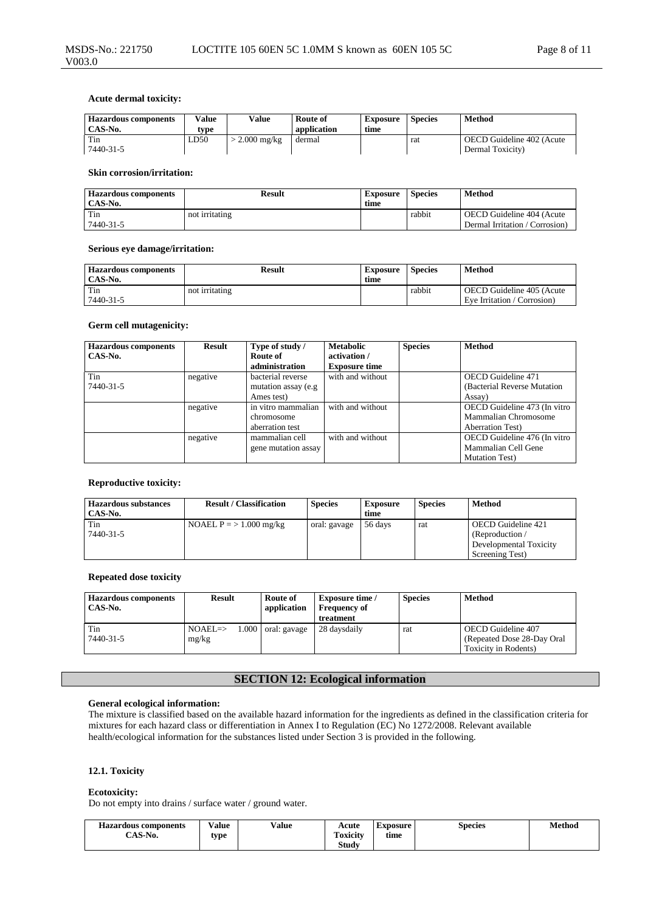| <b>Hazardous components</b><br>CAS-No. | Value<br>tvpe | Value         | Route of<br>application | <b>Exposure</b><br>time | <b>Species</b> | Method                                        |
|----------------------------------------|---------------|---------------|-------------------------|-------------------------|----------------|-----------------------------------------------|
| Tin<br>7440-31-5                       | LD50          | $2.000$ mg/kg | dermal                  |                         | rat            | OECD Guideline 402 (Acute<br>Dermal Toxicity) |

#### **Skin corrosion/irritation:**

| <b>Hazardous components</b><br>CAS-No. | Result         | <b>Exposure</b><br>time | <b>Species</b> | Method                         |
|----------------------------------------|----------------|-------------------------|----------------|--------------------------------|
| Tin                                    | not irritating |                         | rabbit         | OECD Guideline 404 (Acute      |
| 7440-31-5                              |                |                         |                | Dermal Irritation / Corrosion) |

#### **Serious eye damage/irritation:**

| <b>Hazardous components</b><br>CAS-No. | Result         | Exposure<br>time | <b>Species</b> | Method                                                   |
|----------------------------------------|----------------|------------------|----------------|----------------------------------------------------------|
| Tin<br>7440-31-5                       | not irritating |                  | rabbit         | OECD Guideline 405 (Acute<br>Eve Irritation / Corrosion) |

### **Germ cell mutagenicity:**

| <b>Hazardous components</b><br>CAS-No. | <b>Result</b> | Type of study /<br>Route of<br>administration | <b>Metabolic</b><br>activation /<br><b>Exposure time</b> | <b>Species</b> | <b>Method</b>                |
|----------------------------------------|---------------|-----------------------------------------------|----------------------------------------------------------|----------------|------------------------------|
| Tin                                    | negative      | bacterial reverse                             | with and without                                         |                | <b>OECD</b> Guideline 471    |
| 7440-31-5                              |               | mutation assay (e.g.                          |                                                          |                | (Bacterial Reverse Mutation) |
|                                        |               | Ames test)                                    |                                                          |                | Assay)                       |
|                                        | negative      | in vitro mammalian                            | with and without                                         |                | OECD Guideline 473 (In vitro |
|                                        |               | chromosome                                    |                                                          |                | Mammalian Chromosome         |
|                                        |               | aberration test                               |                                                          |                | <b>Aberration Test</b> )     |
|                                        | negative      | mammalian cell                                | with and without                                         |                | OECD Guideline 476 (In vitro |
|                                        |               | gene mutation assay                           |                                                          |                | Mammalian Cell Gene          |
|                                        |               |                                               |                                                          |                | <b>Mutation Test</b> )       |

#### **Reproductive toxicity:**

| <b>Hazardous substances</b><br>CAS-No. | <b>Result / Classification</b> | <b>Species</b> | <b>Exposure</b><br>time | <b>Species</b> | Method                                                                            |
|----------------------------------------|--------------------------------|----------------|-------------------------|----------------|-----------------------------------------------------------------------------------|
| Tin<br>7440-31-5                       | NOAEL $P = > 1.000$ mg/kg      | oral: gavage   | 56 days                 | rat            | OECD Guideline 421<br>(Reproduction/<br>Developmental Toxicity<br>Screening Test) |

#### **Repeated dose toxicity**

| <b>Hazardous components</b><br>CAS-No. | <b>Result</b>                | Route of<br>application | <b>Exposure time</b> /<br><b>Frequency of</b><br>treatment | <b>Species</b> | Method                                                                    |
|----------------------------------------|------------------------------|-------------------------|------------------------------------------------------------|----------------|---------------------------------------------------------------------------|
| Tin<br>7440-31-5                       | $NOAEL \Rightarrow$<br>mg/kg | $1.000$ oral: gavage    | 28 daysdaily                                               | rat            | OECD Guideline 407<br>(Repeated Dose 28-Day Oral)<br>Toxicity in Rodents) |

### **SECTION 12: Ecological information**

#### **General ecological information:**

The mixture is classified based on the available hazard information for the ingredients as defined in the classification criteria for mixtures for each hazard class or differentiation in Annex I to Regulation (EC) No 1272/2008. Relevant available health/ecological information for the substances listed under Section 3 is provided in the following.

### **12.1. Toxicity**

# **Ecotoxicity:**

Do not empty into drains / surface water / ground water.

| <b>Hazardous components</b> | /alue<br>. | Value | Acute           | Exposure | Species | Method |
|-----------------------------|------------|-------|-----------------|----------|---------|--------|
| CAS-No.                     | tvpe       |       | <b>Toxicity</b> | time     |         |        |
|                             |            |       | <b>Study</b>    |          |         |        |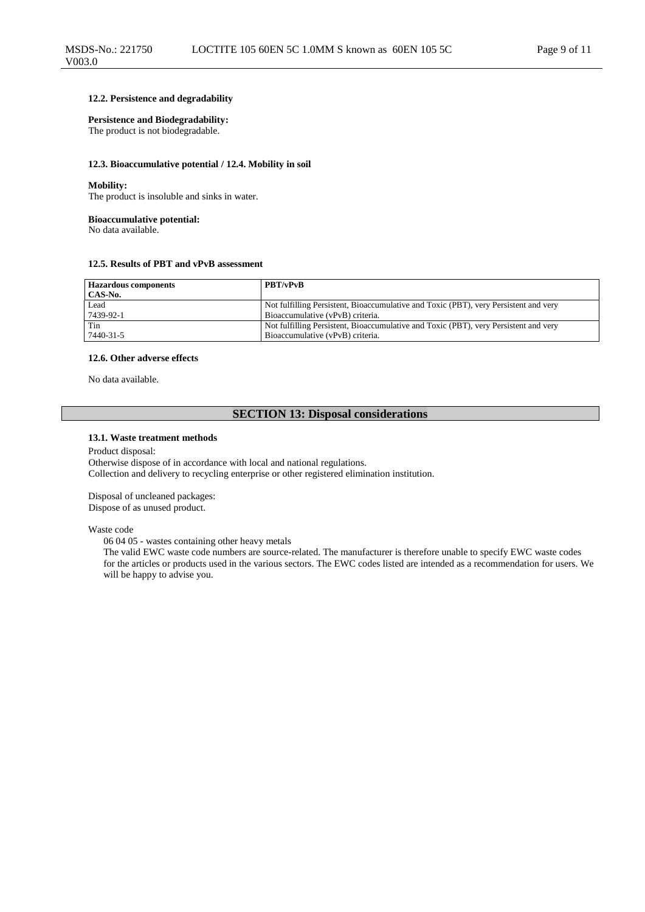#### **12.2. Persistence and degradability**

#### **Persistence and Biodegradability:**

The product is not biodegradable.

#### **12.3. Bioaccumulative potential / 12.4. Mobility in soil**

#### **Mobility:**

The product is insoluble and sinks in water.

#### **Bioaccumulative potential:**

No data available.

#### **12.5. Results of PBT and vPvB assessment**

| <b>Hazardous components</b><br>CAS-No. | <b>PBT/vPvB</b>                                                                      |
|----------------------------------------|--------------------------------------------------------------------------------------|
| Lead                                   | Not fulfilling Persistent, Bioaccumulative and Toxic (PBT), very Persistent and very |
| 7439-92-1                              | Bioaccumulative (vPvB) criteria.                                                     |
| Tin                                    | Not fulfilling Persistent, Bioaccumulative and Toxic (PBT), very Persistent and very |
| 7440-31-5                              | Bioaccumulative (vPvB) criteria.                                                     |

#### **12.6. Other adverse effects**

No data available.

### **SECTION 13: Disposal considerations**

#### **13.1. Waste treatment methods**

#### Product disposal: Otherwise dispose of in accordance with local and national regulations. Collection and delivery to recycling enterprise or other registered elimination institution.

Disposal of uncleaned packages: Dispose of as unused product.

#### Waste code

06 04 05 - wastes containing other heavy metals

The valid EWC waste code numbers are source-related. The manufacturer is therefore unable to specify EWC waste codes for the articles or products used in the various sectors. The EWC codes listed are intended as a recommendation for users. We will be happy to advise you.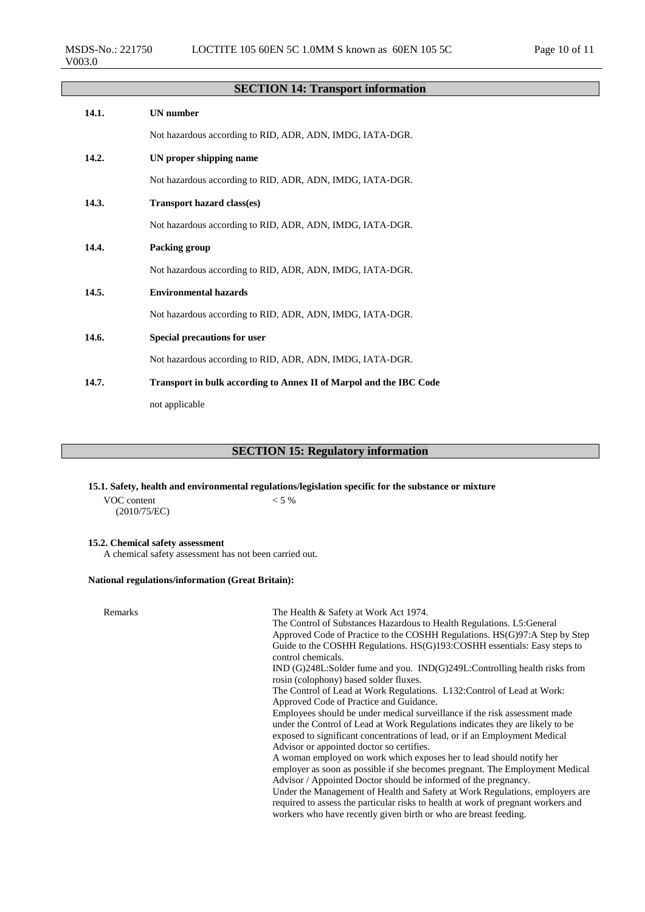# **SECTION 14: Transport information**

| 14.1. | <b>UN</b> number                                                   |
|-------|--------------------------------------------------------------------|
|       | Not hazardous according to RID, ADR, ADN, IMDG, IATA-DGR.          |
| 14.2. | UN proper shipping name                                            |
|       | Not hazardous according to RID, ADR, ADN, IMDG, IATA-DGR.          |
| 14.3. | <b>Transport hazard class(es)</b>                                  |
|       | Not hazardous according to RID, ADR, ADN, IMDG, IATA-DGR.          |
| 14.4. | Packing group                                                      |
|       | Not hazardous according to RID, ADR, ADN, IMDG, IATA-DGR.          |
| 14.5. | <b>Environmental hazards</b>                                       |
|       | Not hazardous according to RID, ADR, ADN, IMDG, IATA-DGR.          |
| 14.6. | <b>Special precautions for user</b>                                |
|       | Not hazardous according to RID, ADR, ADN, IMDG, IATA-DGR.          |
| 14.7. | Transport in bulk according to Annex II of Marpol and the IBC Code |
|       | not applicable                                                     |

### **SECTION 15: Regulatory information**

### **15.1. Safety, health and environmental regulations/legislation specific for the substance or mixture**

VOC content (2010/75/EC)  $< 5 \%$ 

### **15.2. Chemical safety assessment**

A chemical safety assessment has not been carried out.

### **National regulations/information (Great Britain):**

| Remarks | The Health & Safety at Work Act 1974.<br>The Control of Substances Hazardous to Health Regulations. L5: General<br>Approved Code of Practice to the COSHH Regulations. HS(G)97:A Step by Step<br>Guide to the COSHH Regulations. HS(G)193:COSHH essentials: Easy steps to<br>control chemicals.<br>$IND(G)248L:$ Solder fume and you. $IND(G)249L:$ Controlling health risks from<br>rosin (colophony) based solder fluxes.<br>The Control of Lead at Work Regulations. L132: Control of Lead at Work:<br>Approved Code of Practice and Guidance.<br>Employees should be under medical surveillance if the risk assessment made<br>under the Control of Lead at Work Regulations indicates they are likely to be<br>exposed to significant concentrations of lead, or if an Employment Medical<br>Advisor or appointed doctor so certifies.<br>A woman employed on work which exposes her to lead should notify her<br>employer as soon as possible if she becomes pregnant. The Employment Medical<br>Advisor / Appointed Doctor should be informed of the pregnancy.<br>Under the Management of Health and Safety at Work Regulations, employers are |
|---------|--------------------------------------------------------------------------------------------------------------------------------------------------------------------------------------------------------------------------------------------------------------------------------------------------------------------------------------------------------------------------------------------------------------------------------------------------------------------------------------------------------------------------------------------------------------------------------------------------------------------------------------------------------------------------------------------------------------------------------------------------------------------------------------------------------------------------------------------------------------------------------------------------------------------------------------------------------------------------------------------------------------------------------------------------------------------------------------------------------------------------------------------------------|
|         | required to assess the particular risks to health at work of pregnant workers and<br>workers who have recently given birth or who are breast feeding.                                                                                                                                                                                                                                                                                                                                                                                                                                                                                                                                                                                                                                                                                                                                                                                                                                                                                                                                                                                                  |